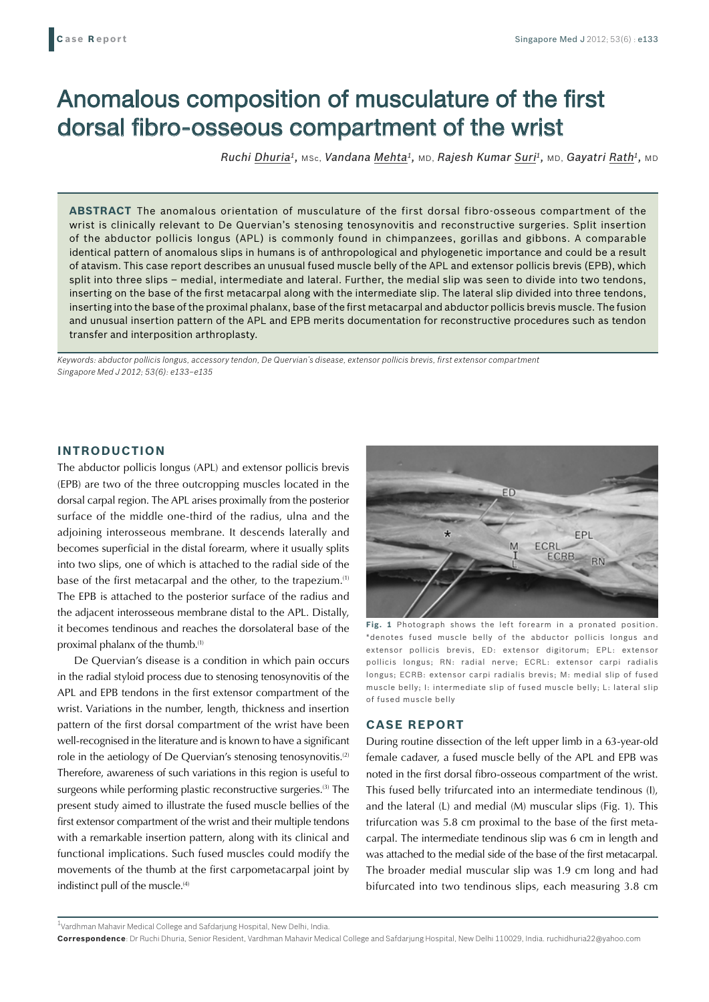# Anomalous composition of musculature of the first dorsal fibro-osseous compartment of the wrist

*Ruchi Dhuria1,* MSc, *Vandana Mehta1,* MD, *Rajesh Kumar Suri1,* MD, *Gayatri Rath1,* MD

**ABSTRACT** The anomalous orientation of musculature of the first dorsal fibro-osseous compartment of the wrist is clinically relevant to De Quervian's stenosing tenosynovitis and reconstructive surgeries. Split insertion of the abductor pollicis longus (APL) is commonly found in chimpanzees, gorillas and gibbons. A comparable identical pattern of anomalous slips in humans is of anthropological and phylogenetic importance and could be a result of atavism. This case report describes an unusual fused muscle belly of the APL and extensor pollicis brevis (EPB), which split into three slips – medial, intermediate and lateral. Further, the medial slip was seen to divide into two tendons, inserting on the base of the first metacarpal along with the intermediate slip. The lateral slip divided into three tendons, inserting into the base of the proximal phalanx, base of the first metacarpal and abductor pollicis brevis muscle. The fusion and unusual insertion pattern of the APL and EPB merits documentation for reconstructive procedures such as tendon transfer and interposition arthroplasty.

*Keywords: abductor pollicis longus, accessory tendon, De Quervian's disease, extensor pollicis brevis, first extensor compartment Singapore Med J 2012; 53(6): e133–e135*

### **INTRODUCTION**

The abductor pollicis longus (APL) and extensor pollicis brevis (EPB) are two of the three outcropping muscles located in the dorsal carpal region. The APL arises proximally from the posterior surface of the middle one-third of the radius, ulna and the adjoining interosseous membrane. It descends laterally and becomes superficial in the distal forearm, where it usually splits into two slips, one of which is attached to the radial side of the base of the first metacarpal and the other, to the trapezium.(1) The EPB is attached to the posterior surface of the radius and the adjacent interosseous membrane distal to the APL. Distally, it becomes tendinous and reaches the dorsolateral base of the proximal phalanx of the thumb.(1)

De Quervian's disease is a condition in which pain occurs in the radial styloid process due to stenosing tenosynovitis of the APL and EPB tendons in the first extensor compartment of the wrist. Variations in the number, length, thickness and insertion pattern of the first dorsal compartment of the wrist have been well-recognised in the literature and is known to have a significant role in the aetiology of De Quervian's stenosing tenosynovitis.<sup>(2)</sup> Therefore, awareness of such variations in this region is useful to surgeons while performing plastic reconstructive surgeries.<sup>(3)</sup> The present study aimed to illustrate the fused muscle bellies of the first extensor compartment of the wrist and their multiple tendons with a remarkable insertion pattern, along with its clinical and functional implications. Such fused muscles could modify the movements of the thumb at the first carpometacarpal joint by indistinct pull of the muscle.<sup>(4)</sup>



**Fig. 1** Photograph shows the left forearm in a pronated position. \*denotes fused muscle belly of the abductor pollicis longus and extensor pollicis brevis, ED: extensor digitorum; EPL: extensor pollicis longus; RN: radial nerve; ECRL: extensor carpi radialis longus; ECRB: extensor carpi radialis brevis; M: medial slip of fused muscle belly; I: intermediate slip of fused muscle belly; L: lateral slip of fused muscle belly

### **CASE REPORT**

During routine dissection of the left upper limb in a 63-year-old female cadaver, a fused muscle belly of the APL and EPB was noted in the first dorsal fibro-osseous compartment of the wrist. This fused belly trifurcated into an intermediate tendinous (I), and the lateral (L) and medial (M) muscular slips (Fig. 1). This trifurcation was 5.8 cm proximal to the base of the first metacarpal. The intermediate tendinous slip was 6 cm in length and was attached to the medial side of the base of the first metacarpal. The broader medial muscular slip was 1.9 cm long and had bifurcated into two tendinous slips, each measuring 3.8 cm

 $^{\rm 1}$ Vardhman Mahavir Medical College and Safdarjung Hospital, New Delhi, India.

**Correspondence**: Dr Ruchi Dhuria, Senior Resident, Vardhman Mahavir Medical College and Safdarjung Hospital, New Delhi 110029, India. ruchidhuria22@yahoo.com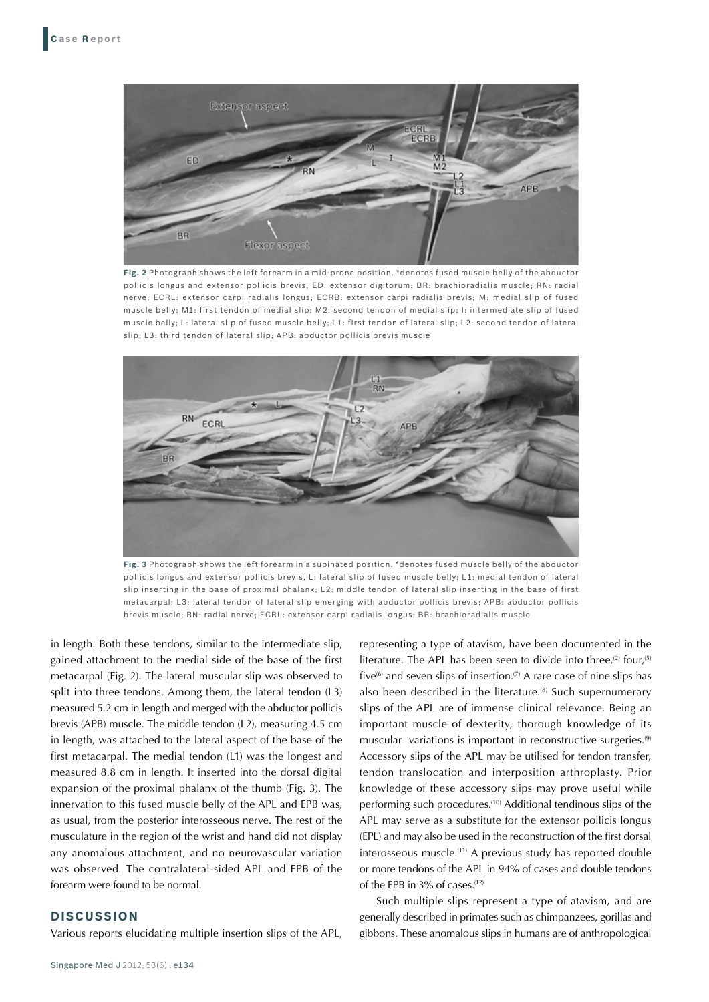

**Fig. 2** Photograph shows the left forearm in a mid-prone position. \*denotes fused muscle belly of the abductor pollicis longus and extensor pollicis brevis, ED: extensor digitorum; BR: brachioradialis muscle; RN: radial nerve; ECRL: extensor carpi radialis longus; ECRB: extensor carpi radialis brevis; M: medial slip of fused muscle belly; M1: first tendon of medial slip; M2: second tendon of medial slip; I: intermediate slip of fused muscle belly; L: lateral slip of fused muscle belly; L1: first tendon of lateral slip; L2: second tendon of lateral slip; L3: third tendon of lateral slip; APB: abductor pollicis brevis muscle



**Fig. 3** Photograph shows the left forearm in a supinated position. \*denotes fused muscle belly of the abductor pollicis longus and extensor pollicis brevis, L: lateral slip of fused muscle belly; L1: medial tendon of lateral slip inserting in the base of proximal phalanx; L2: middle tendon of lateral slip inserting in the base of first metacarpal; L3: lateral tendon of lateral slip emerging with abductor pollicis brevis; APB: abductor pollicis brevis muscle; RN: radial nerve; ECRL: extensor carpi radialis longus; BR: brachioradialis muscle

in length. Both these tendons, similar to the intermediate slip, gained attachment to the medial side of the base of the first metacarpal (Fig. 2). The lateral muscular slip was observed to split into three tendons. Among them, the lateral tendon (L3) measured 5.2 cm in length and merged with the abductor pollicis brevis (APB) muscle. The middle tendon (L2), measuring 4.5 cm in length, was attached to the lateral aspect of the base of the first metacarpal. The medial tendon (L1) was the longest and measured 8.8 cm in length. It inserted into the dorsal digital expansion of the proximal phalanx of the thumb (Fig. 3). The innervation to this fused muscle belly of the APL and EPB was, as usual, from the posterior interosseous nerve. The rest of the musculature in the region of the wrist and hand did not display any anomalous attachment, and no neurovascular variation was observed. The contralateral-sided APL and EPB of the forearm were found to be normal.

## **DISCUSSION**

Various reports elucidating multiple insertion slips of the APL,

Singapore Med J 2012; 53(6) : e134

representing a type of atavism, have been documented in the literature. The APL has been seen to divide into three,<sup>(2)</sup> four,<sup>(5)</sup> five<sup>(6)</sup> and seven slips of insertion.<sup>(7)</sup> A rare case of nine slips has also been described in the literature.<sup>(8)</sup> Such supernumerary slips of the APL are of immense clinical relevance. Being an important muscle of dexterity, thorough knowledge of its muscular variations is important in reconstructive surgeries.<sup>(9)</sup> Accessory slips of the APL may be utilised for tendon transfer, tendon translocation and interposition arthroplasty. Prior knowledge of these accessory slips may prove useful while performing such procedures.(10) Additional tendinous slips of the APL may serve as a substitute for the extensor pollicis longus (EPL) and may also be used in the reconstruction of the first dorsal interosseous muscle.(11) A previous study has reported double or more tendons of the APL in 94% of cases and double tendons of the EPB in 3% of cases.<sup>(12)</sup>

Such multiple slips represent a type of atavism, and are generally described in primates such as chimpanzees, gorillas and gibbons. These anomalous slips in humans are of anthropological